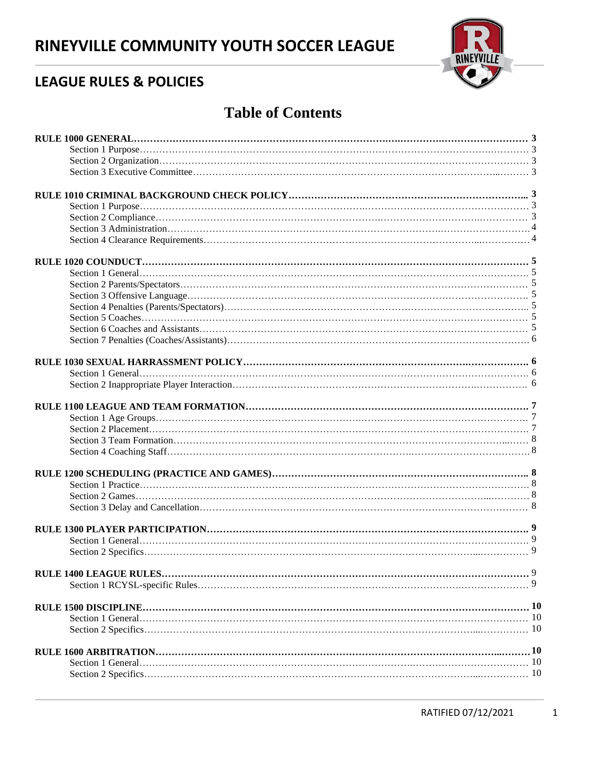# **RINEYVILLE COMMUNITY YOUTH SOCCER LEAGUE**



## **LEAGUE RULES & POLICIES**

## **Table of Contents**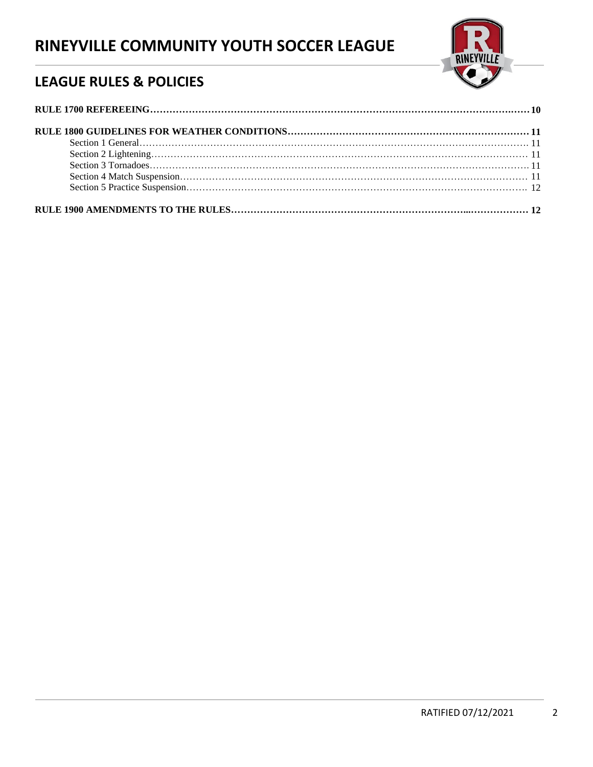# **RINEYVILLE COMMUNITY YOUTH SOCCER LEAGUE**



## **LEAGUE RULES & POLICIES**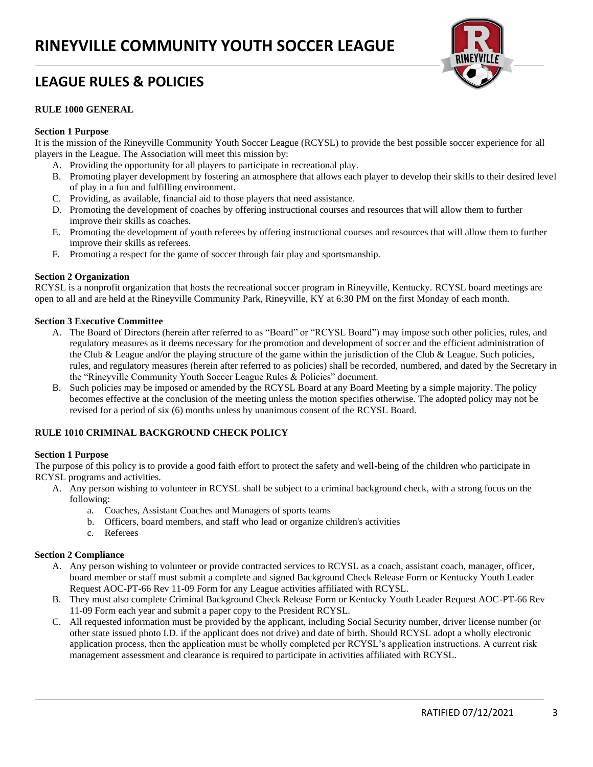

#### **RULE 1000 GENERAL**

#### **Section 1 Purpose**

It is the mission of the Rineyville Community Youth Soccer League (RCYSL) to provide the best possible soccer experience for all players in the League. The Association will meet this mission by:

- A. Providing the opportunity for all players to participate in recreational play.
- B. Promoting player development by fostering an atmosphere that allows each player to develop their skills to their desired level of play in a fun and fulfilling environment.
- C. Providing, as available, financial aid to those players that need assistance.
- D. Promoting the development of coaches by offering instructional courses and resources that will allow them to further improve their skills as coaches.
- E. Promoting the development of youth referees by offering instructional courses and resources that will allow them to further improve their skills as referees.
- F. Promoting a respect for the game of soccer through fair play and sportsmanship.

#### **Section 2 Organization**

RCYSL is a nonprofit organization that hosts the recreational soccer program in Rineyville, Kentucky. RCYSL board meetings are open to all and are held at the Rineyville Community Park, Rineyville, KY at 6:30 PM on the first Monday of each month.

#### **Section 3 Executive Committee**

- A. The Board of Directors (herein after referred to as "Board" or "RCYSL Board") may impose such other policies, rules, and regulatory measures as it deems necessary for the promotion and development of soccer and the efficient administration of the Club & League and/or the playing structure of the game within the jurisdiction of the Club & League. Such policies, rules, and regulatory measures (herein after referred to as policies) shall be recorded, numbered, and dated by the Secretary in the "Rineyville Community Youth Soccer League Rules & Policies" document.
- B. Such policies may be imposed or amended by the RCYSL Board at any Board Meeting by a simple majority. The policy becomes effective at the conclusion of the meeting unless the motion specifies otherwise. The adopted policy may not be revised for a period of six (6) months unless by unanimous consent of the RCYSL Board.

#### **RULE 1010 CRIMINAL BACKGROUND CHECK POLICY**

#### **Section 1 Purpose**

The purpose of this policy is to provide a good faith effort to protect the safety and well-being of the children who participate in RCYSL programs and activities.

- A. Any person wishing to volunteer in RCYSL shall be subject to a criminal background check, with a strong focus on the following:
	- a. Coaches, Assistant Coaches and Managers of sports teams
	- b. Officers, board members, and staff who lead or organize children's activities
	- c. Referees

#### **Section 2 Compliance**

- A. Any person wishing to volunteer or provide contracted services to RCYSL as a coach, assistant coach, manager, officer, board member or staff must submit a complete and signed Background Check Release Form or Kentucky Youth Leader Request AOC-PT-66 Rev 11-09 Form for any League activities affiliated with RCYSL.
- B. They must also complete Criminal Background Check Release Form or Kentucky Youth Leader Request AOC-PT-66 Rev 11-09 Form each year and submit a paper copy to the President RCYSL.
- C. All requested information must be provided by the applicant, including Social Security number, driver license number (or other state issued photo I.D. if the applicant does not drive) and date of birth. Should RCYSL adopt a wholly electronic application process, then the application must be wholly completed per RCYSL's application instructions. A current risk management assessment and clearance is required to participate in activities affiliated with RCYSL.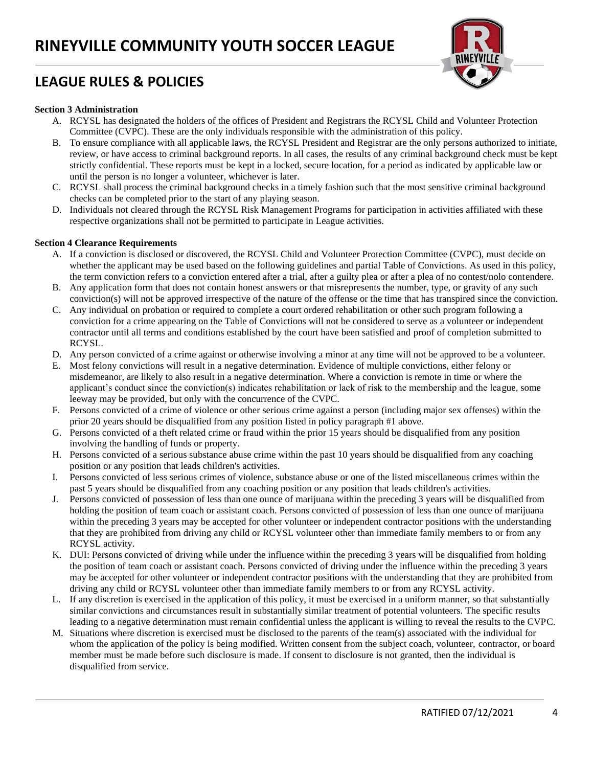

#### **Section 3 Administration**

- A. RCYSL has designated the holders of the offices of President and Registrars the RCYSL Child and Volunteer Protection Committee (CVPC). These are the only individuals responsible with the administration of this policy.
- B. To ensure compliance with all applicable laws, the RCYSL President and Registrar are the only persons authorized to initiate, review, or have access to criminal background reports. In all cases, the results of any criminal background check must be kept strictly confidential. These reports must be kept in a locked, secure location, for a period as indicated by applicable law or until the person is no longer a volunteer, whichever is later.
- C. RCYSL shall process the criminal background checks in a timely fashion such that the most sensitive criminal background checks can be completed prior to the start of any playing season.
- D. Individuals not cleared through the RCYSL Risk Management Programs for participation in activities affiliated with these respective organizations shall not be permitted to participate in League activities.

#### **Section 4 Clearance Requirements**

- A. If a conviction is disclosed or discovered, the RCYSL Child and Volunteer Protection Committee (CVPC), must decide on whether the applicant may be used based on the following guidelines and partial Table of Convictions. As used in this policy, the term conviction refers to a conviction entered after a trial, after a guilty plea or after a plea of no contest/nolo contendere.
- B. Any application form that does not contain honest answers or that misrepresents the number, type, or gravity of any such conviction(s) will not be approved irrespective of the nature of the offense or the time that has transpired since the conviction.
- C. Any individual on probation or required to complete a court ordered rehabilitation or other such program following a conviction for a crime appearing on the Table of Convictions will not be considered to serve as a volunteer or independent contractor until all terms and conditions established by the court have been satisfied and proof of completion submitted to RCYSL.
- D. Any person convicted of a crime against or otherwise involving a minor at any time will not be approved to be a volunteer.
- E. Most felony convictions will result in a negative determination. Evidence of multiple convictions, either felony or misdemeanor, are likely to also result in a negative determination. Where a conviction is remote in time or where the applicant's conduct since the conviction(s) indicates rehabilitation or lack of risk to the membership and the league, some leeway may be provided, but only with the concurrence of the CVPC.
- F. Persons convicted of a crime of violence or other serious crime against a person (including major sex offenses) within the prior 20 years should be disqualified from any position listed in policy paragraph #1 above.
- G. Persons convicted of a theft related crime or fraud within the prior 15 years should be disqualified from any position involving the handling of funds or property.
- H. Persons convicted of a serious substance abuse crime within the past 10 years should be disqualified from any coaching position or any position that leads children's activities.
- I. Persons convicted of less serious crimes of violence, substance abuse or one of the listed miscellaneous crimes within the past 5 years should be disqualified from any coaching position or any position that leads children's activities.
- J. Persons convicted of possession of less than one ounce of marijuana within the preceding 3 years will be disqualified from holding the position of team coach or assistant coach. Persons convicted of possession of less than one ounce of marijuana within the preceding 3 years may be accepted for other volunteer or independent contractor positions with the understanding that they are prohibited from driving any child or RCYSL volunteer other than immediate family members to or from any RCYSL activity.
- K. DUI: Persons convicted of driving while under the influence within the preceding 3 years will be disqualified from holding the position of team coach or assistant coach. Persons convicted of driving under the influence within the preceding 3 years may be accepted for other volunteer or independent contractor positions with the understanding that they are prohibited from driving any child or RCYSL volunteer other than immediate family members to or from any RCYSL activity.
- L. If any discretion is exercised in the application of this policy, it must be exercised in a uniform manner, so that substantially similar convictions and circumstances result in substantially similar treatment of potential volunteers. The specific results leading to a negative determination must remain confidential unless the applicant is willing to reveal the results to the CVPC.
- M. Situations where discretion is exercised must be disclosed to the parents of the team(s) associated with the individual for whom the application of the policy is being modified. Written consent from the subject coach, volunteer, contractor, or board member must be made before such disclosure is made. If consent to disclosure is not granted, then the individual is disqualified from service.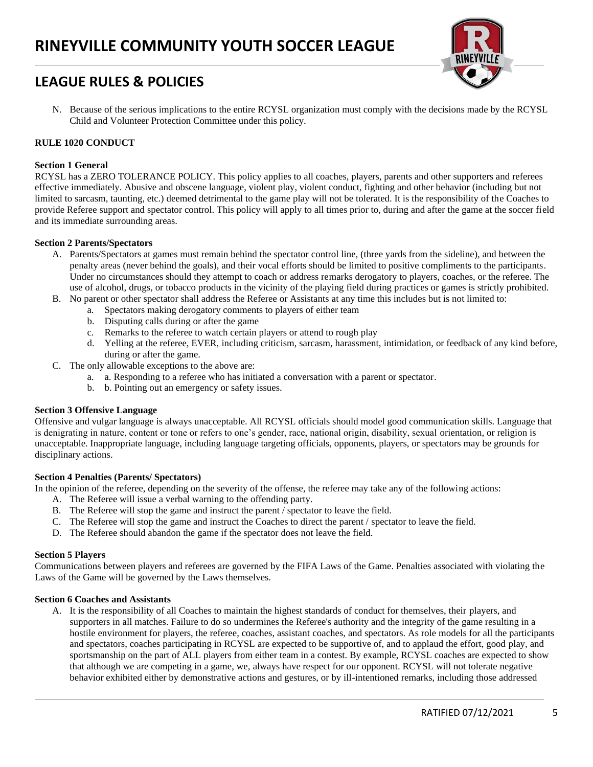

N. Because of the serious implications to the entire RCYSL organization must comply with the decisions made by the RCYSL Child and Volunteer Protection Committee under this policy.

## **RULE 1020 CONDUCT**

## **Section 1 General**

RCYSL has a ZERO TOLERANCE POLICY. This policy applies to all coaches, players, parents and other supporters and referees effective immediately. Abusive and obscene language, violent play, violent conduct, fighting and other behavior (including but not limited to sarcasm, taunting, etc.) deemed detrimental to the game play will not be tolerated. It is the responsibility of the Coaches to provide Referee support and spectator control. This policy will apply to all times prior to, during and after the game at the soccer field and its immediate surrounding areas.

## **Section 2 Parents/Spectators**

- A. Parents/Spectators at games must remain behind the spectator control line, (three yards from the sideline), and between the penalty areas (never behind the goals), and their vocal efforts should be limited to positive compliments to the participants. Under no circumstances should they attempt to coach or address remarks derogatory to players, coaches, or the referee. The use of alcohol, drugs, or tobacco products in the vicinity of the playing field during practices or games is strictly prohibited.
- B. No parent or other spectator shall address the Referee or Assistants at any time this includes but is not limited to:
	- a. Spectators making derogatory comments to players of either team
	- b. Disputing calls during or after the game
	- c. Remarks to the referee to watch certain players or attend to rough play
	- d. Yelling at the referee, EVER, including criticism, sarcasm, harassment, intimidation, or feedback of any kind before, during or after the game.
- C. The only allowable exceptions to the above are:
	- a. a. Responding to a referee who has initiated a conversation with a parent or spectator.
	- b. b. Pointing out an emergency or safety issues.

## **Section 3 Offensive Language**

Offensive and vulgar language is always unacceptable. All RCYSL officials should model good communication skills. Language that is denigrating in nature, content or tone or refers to one's gender, race, national origin, disability, sexual orientation, or religion is unacceptable. Inappropriate language, including language targeting officials, opponents, players, or spectators may be grounds for disciplinary actions.

## **Section 4 Penalties (Parents/ Spectators)**

In the opinion of the referee, depending on the severity of the offense, the referee may take any of the following actions:

- A. The Referee will issue a verbal warning to the offending party.
- B. The Referee will stop the game and instruct the parent / spectator to leave the field.
- C. The Referee will stop the game and instruct the Coaches to direct the parent / spectator to leave the field.
- D. The Referee should abandon the game if the spectator does not leave the field.

#### **Section 5 Players**

Communications between players and referees are governed by the FIFA Laws of the Game. Penalties associated with violating the Laws of the Game will be governed by the Laws themselves.

## **Section 6 Coaches and Assistants**

A. It is the responsibility of all Coaches to maintain the highest standards of conduct for themselves, their players, and supporters in all matches. Failure to do so undermines the Referee's authority and the integrity of the game resulting in a hostile environment for players, the referee, coaches, assistant coaches, and spectators. As role models for all the participants and spectators, coaches participating in RCYSL are expected to be supportive of, and to applaud the effort, good play, and sportsmanship on the part of ALL players from either team in a contest. By example, RCYSL coaches are expected to show that although we are competing in a game, we, always have respect for our opponent. RCYSL will not tolerate negative behavior exhibited either by demonstrative actions and gestures, or by ill-intentioned remarks, including those addressed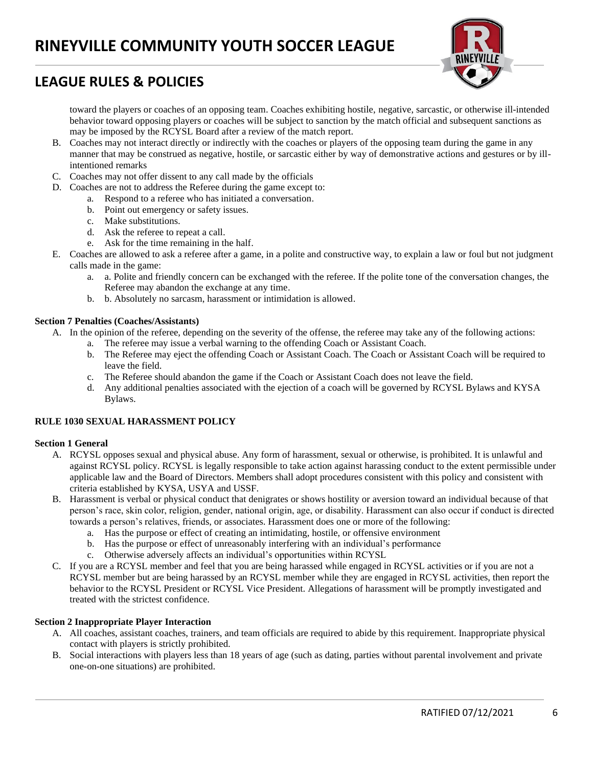

toward the players or coaches of an opposing team. Coaches exhibiting hostile, negative, sarcastic, or otherwise ill-intended behavior toward opposing players or coaches will be subject to sanction by the match official and subsequent sanctions as may be imposed by the RCYSL Board after a review of the match report.

- B. Coaches may not interact directly or indirectly with the coaches or players of the opposing team during the game in any manner that may be construed as negative, hostile, or sarcastic either by way of demonstrative actions and gestures or by illintentioned remarks
- C. Coaches may not offer dissent to any call made by the officials
- D. Coaches are not to address the Referee during the game except to:
	- a. Respond to a referee who has initiated a conversation.
	- b. Point out emergency or safety issues.
	- c. Make substitutions.
	- d. Ask the referee to repeat a call.
	- e. Ask for the time remaining in the half.
- E. Coaches are allowed to ask a referee after a game, in a polite and constructive way, to explain a law or foul but not judgment calls made in the game:
	- a. a. Polite and friendly concern can be exchanged with the referee. If the polite tone of the conversation changes, the Referee may abandon the exchange at any time.
	- b. b. Absolutely no sarcasm, harassment or intimidation is allowed.

## **Section 7 Penalties (Coaches/Assistants)**

- A. In the opinion of the referee, depending on the severity of the offense, the referee may take any of the following actions:
	- a. The referee may issue a verbal warning to the offending Coach or Assistant Coach.
	- b. The Referee may eject the offending Coach or Assistant Coach. The Coach or Assistant Coach will be required to leave the field.
	- c. The Referee should abandon the game if the Coach or Assistant Coach does not leave the field.
	- d. Any additional penalties associated with the ejection of a coach will be governed by RCYSL Bylaws and KYSA Bylaws.

## **RULE 1030 SEXUAL HARASSMENT POLICY**

## **Section 1 General**

- A. RCYSL opposes sexual and physical abuse. Any form of harassment, sexual or otherwise, is prohibited. It is unlawful and against RCYSL policy. RCYSL is legally responsible to take action against harassing conduct to the extent permissible under applicable law and the Board of Directors. Members shall adopt procedures consistent with this policy and consistent with criteria established by KYSA, USYA and USSF.
- B. Harassment is verbal or physical conduct that denigrates or shows hostility or aversion toward an individual because of that person's race, skin color, religion, gender, national origin, age, or disability. Harassment can also occur if conduct is directed towards a person's relatives, friends, or associates. Harassment does one or more of the following:
	- a. Has the purpose or effect of creating an intimidating, hostile, or offensive environment
	- b. Has the purpose or effect of unreasonably interfering with an individual's performance
	- c. Otherwise adversely affects an individual's opportunities within RCYSL
- C. If you are a RCYSL member and feel that you are being harassed while engaged in RCYSL activities or if you are not a RCYSL member but are being harassed by an RCYSL member while they are engaged in RCYSL activities, then report the behavior to the RCYSL President or RCYSL Vice President. Allegations of harassment will be promptly investigated and treated with the strictest confidence.

#### **Section 2 Inappropriate Player Interaction**

- A. All coaches, assistant coaches, trainers, and team officials are required to abide by this requirement. Inappropriate physical contact with players is strictly prohibited.
- B. Social interactions with players less than 18 years of age (such as dating, parties without parental involvement and private one-on-one situations) are prohibited.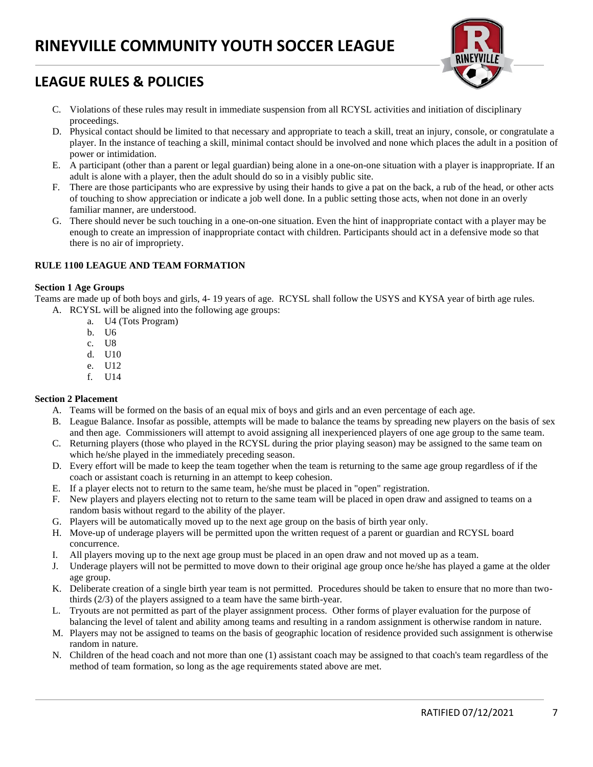

- C. Violations of these rules may result in immediate suspension from all RCYSL activities and initiation of disciplinary proceedings.
- D. Physical contact should be limited to that necessary and appropriate to teach a skill, treat an injury, console, or congratulate a player. In the instance of teaching a skill, minimal contact should be involved and none which places the adult in a position of power or intimidation.
- E. A participant (other than a parent or legal guardian) being alone in a one-on-one situation with a player is inappropriate. If an adult is alone with a player, then the adult should do so in a visibly public site.
- F. There are those participants who are expressive by using their hands to give a pat on the back, a rub of the head, or other acts of touching to show appreciation or indicate a job well done. In a public setting those acts, when not done in an overly familiar manner, are understood.
- G. There should never be such touching in a one-on-one situation. Even the hint of inappropriate contact with a player may be enough to create an impression of inappropriate contact with children. Participants should act in a defensive mode so that there is no air of impropriety.

#### **RULE 1100 LEAGUE AND TEAM FORMATION**

#### **Section 1 Age Groups**

Teams are made up of both boys and girls, 4- 19 years of age. RCYSL shall follow the USYS and KYSA year of birth age rules. A. RCYSL will be aligned into the following age groups:

- a. U4 (Tots Program)
- b. U6
- c. U8
- d. U10
- e. U12
- f. U14

## **Section 2 Placement**

A. Teams will be formed on the basis of an equal mix of boys and girls and an even percentage of each age.

- B. League Balance. Insofar as possible, attempts will be made to balance the teams by spreading new players on the basis of sex and then age. Commissioners will attempt to avoid assigning all inexperienced players of one age group to the same team.
- C. Returning players (those who played in the RCYSL during the prior playing season) may be assigned to the same team on which he/she played in the immediately preceding season.
- D. Every effort will be made to keep the team together when the team is returning to the same age group regardless of if the coach or assistant coach is returning in an attempt to keep cohesion.
- E. If a player elects not to return to the same team, he/she must be placed in "open" registration.
- F. New players and players electing not to return to the same team will be placed in open draw and assigned to teams on a random basis without regard to the ability of the player.
- G. Players will be automatically moved up to the next age group on the basis of birth year only.
- H. Move-up of underage players will be permitted upon the written request of a parent or guardian and RCYSL board concurrence.
- I. All players moving up to the next age group must be placed in an open draw and not moved up as a team.
- J. Underage players will not be permitted to move down to their original age group once he/she has played a game at the older age group.
- K. Deliberate creation of a single birth year team is not permitted. Procedures should be taken to ensure that no more than twothirds (2/3) of the players assigned to a team have the same birth-year.
- L. Tryouts are not permitted as part of the player assignment process. Other forms of player evaluation for the purpose of balancing the level of talent and ability among teams and resulting in a random assignment is otherwise random in nature.
- M. Players may not be assigned to teams on the basis of geographic location of residence provided such assignment is otherwise random in nature.
- N. Children of the head coach and not more than one (1) assistant coach may be assigned to that coach's team regardless of the method of team formation, so long as the age requirements stated above are met.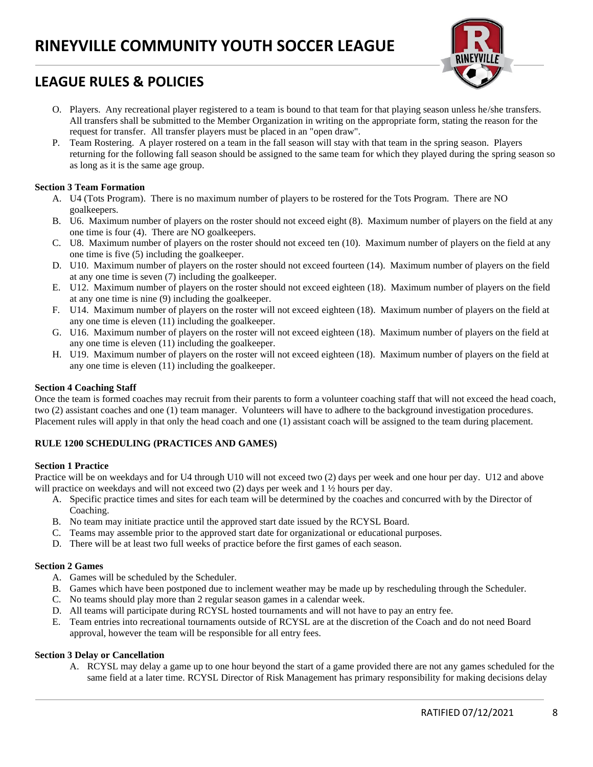

- O. Players. Any recreational player registered to a team is bound to that team for that playing season unless he/she transfers. All transfers shall be submitted to the Member Organization in writing on the appropriate form, stating the reason for the request for transfer. All transfer players must be placed in an "open draw".
- P. Team Rostering. A player rostered on a team in the fall season will stay with that team in the spring season. Players returning for the following fall season should be assigned to the same team for which they played during the spring season so as long as it is the same age group.

## **Section 3 Team Formation**

- A. U4 (Tots Program). There is no maximum number of players to be rostered for the Tots Program. There are NO goalkeepers.
- B. U6. Maximum number of players on the roster should not exceed eight (8). Maximum number of players on the field at any one time is four (4). There are NO goalkeepers.
- C. U8. Maximum number of players on the roster should not exceed ten (10). Maximum number of players on the field at any one time is five (5) including the goalkeeper.
- D. U10. Maximum number of players on the roster should not exceed fourteen (14). Maximum number of players on the field at any one time is seven (7) including the goalkeeper.
- E. U12. Maximum number of players on the roster should not exceed eighteen (18). Maximum number of players on the field at any one time is nine (9) including the goalkeeper.
- F. U14. Maximum number of players on the roster will not exceed eighteen (18). Maximum number of players on the field at any one time is eleven (11) including the goalkeeper.
- G. U16. Maximum number of players on the roster will not exceed eighteen (18). Maximum number of players on the field at any one time is eleven (11) including the goalkeeper.
- H. U19. Maximum number of players on the roster will not exceed eighteen (18). Maximum number of players on the field at any one time is eleven (11) including the goalkeeper.

## **Section 4 Coaching Staff**

Once the team is formed coaches may recruit from their parents to form a volunteer coaching staff that will not exceed the head coach, two (2) assistant coaches and one (1) team manager. Volunteers will have to adhere to the background investigation procedures. Placement rules will apply in that only the head coach and one (1) assistant coach will be assigned to the team during placement.

## **RULE 1200 SCHEDULING (PRACTICES AND GAMES)**

## **Section 1 Practice**

Practice will be on weekdays and for U4 through U10 will not exceed two (2) days per week and one hour per day. U12 and above will practice on weekdays and will not exceed two (2) days per week and 1  $\frac{1}{2}$  hours per day.

- A. Specific practice times and sites for each team will be determined by the coaches and concurred with by the Director of Coaching.
- B. No team may initiate practice until the approved start date issued by the RCYSL Board.
- C. Teams may assemble prior to the approved start date for organizational or educational purposes.
- D. There will be at least two full weeks of practice before the first games of each season.

## **Section 2 Games**

- A. Games will be scheduled by the Scheduler.
- B. Games which have been postponed due to inclement weather may be made up by rescheduling through the Scheduler.
- C. No teams should play more than 2 regular season games in a calendar week.
- D. All teams will participate during RCYSL hosted tournaments and will not have to pay an entry fee.
- E. Team entries into recreational tournaments outside of RCYSL are at the discretion of the Coach and do not need Board approval, however the team will be responsible for all entry fees.

## **Section 3 Delay or Cancellation**

A. RCYSL may delay a game up to one hour beyond the start of a game provided there are not any games scheduled for the same field at a later time. RCYSL Director of Risk Management has primary responsibility for making decisions delay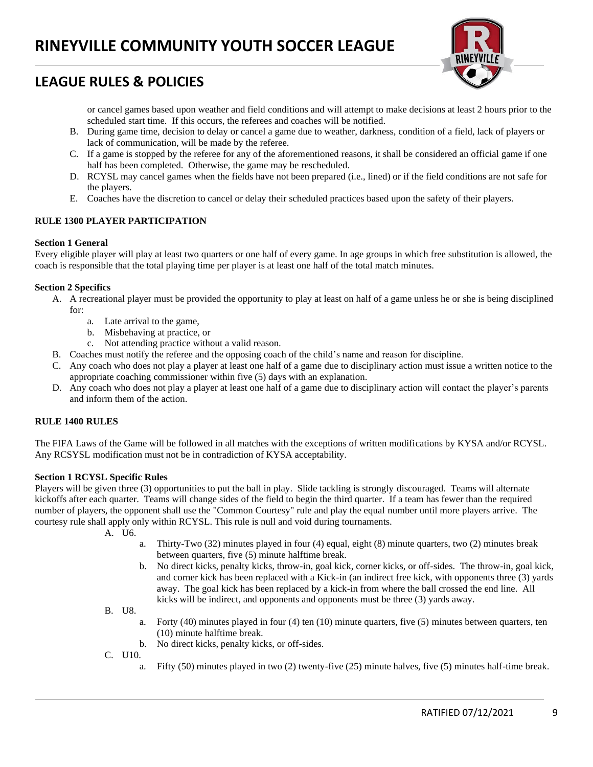

or cancel games based upon weather and field conditions and will attempt to make decisions at least 2 hours prior to the scheduled start time. If this occurs, the referees and coaches will be notified.

- B. During game time, decision to delay or cancel a game due to weather, darkness, condition of a field, lack of players or lack of communication, will be made by the referee.
- C. If a game is stopped by the referee for any of the aforementioned reasons, it shall be considered an official game if one half has been completed. Otherwise, the game may be rescheduled.
- D. RCYSL may cancel games when the fields have not been prepared (i.e., lined) or if the field conditions are not safe for the players.
- E. Coaches have the discretion to cancel or delay their scheduled practices based upon the safety of their players.

## **RULE 1300 PLAYER PARTICIPATION**

#### **Section 1 General**

Every eligible player will play at least two quarters or one half of every game. In age groups in which free substitution is allowed, the coach is responsible that the total playing time per player is at least one half of the total match minutes.

#### **Section 2 Specifics**

- A. A recreational player must be provided the opportunity to play at least on half of a game unless he or she is being disciplined for:
	- a. Late arrival to the game,
	- b. Misbehaving at practice, or
	- c. Not attending practice without a valid reason.
- B. Coaches must notify the referee and the opposing coach of the child's name and reason for discipline.
- C. Any coach who does not play a player at least one half of a game due to disciplinary action must issue a written notice to the appropriate coaching commissioner within five (5) days with an explanation.
- D. Any coach who does not play a player at least one half of a game due to disciplinary action will contact the player's parents and inform them of the action.

## **RULE 1400 RULES**

The FIFA Laws of the Game will be followed in all matches with the exceptions of written modifications by KYSA and/or RCYSL. Any RCSYSL modification must not be in contradiction of KYSA acceptability.

#### **Section 1 RCYSL Specific Rules**

Players will be given three (3) opportunities to put the ball in play. Slide tackling is strongly discouraged. Teams will alternate kickoffs after each quarter. Teams will change sides of the field to begin the third quarter. If a team has fewer than the required number of players, the opponent shall use the "Common Courtesy" rule and play the equal number until more players arrive. The courtesy rule shall apply only within RCYSL. This rule is null and void during tournaments.

A. U6.

- a. Thirty-Two (32) minutes played in four (4) equal, eight (8) minute quarters, two (2) minutes break between quarters, five (5) minute halftime break.
- b. No direct kicks, penalty kicks, throw-in, goal kick, corner kicks, or off-sides. The throw-in, goal kick, and corner kick has been replaced with a Kick-in (an indirect free kick, with opponents three (3) yards away. The goal kick has been replaced by a kick-in from where the ball crossed the end line. All kicks will be indirect, and opponents and opponents must be three (3) yards away.

B. U8.

- a. Forty (40) minutes played in four (4) ten (10) minute quarters, five (5) minutes between quarters, ten (10) minute halftime break.
- b. No direct kicks, penalty kicks, or off-sides.
- C. U10.
	- a. Fifty (50) minutes played in two (2) twenty-five (25) minute halves, five (5) minutes half-time break.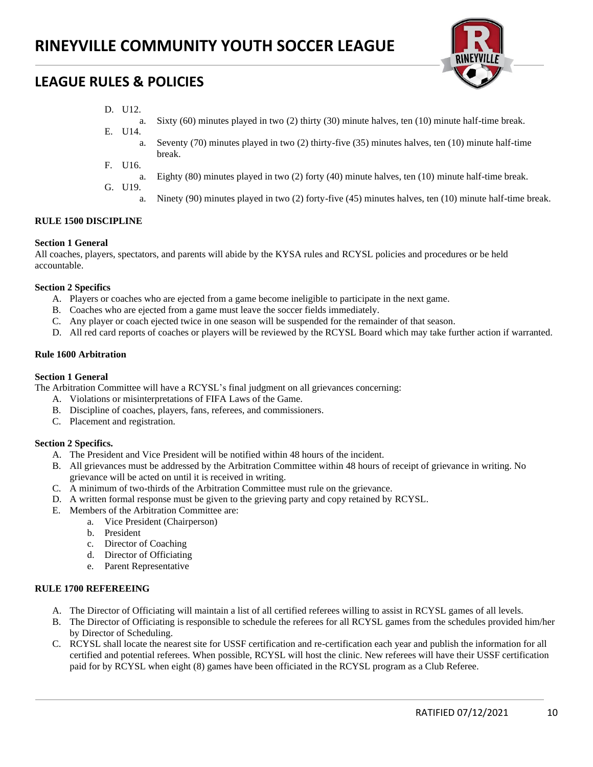

- D. U12.
	- a. Sixty (60) minutes played in two (2) thirty (30) minute halves, ten (10) minute half-time break.
- E. U14. a. Seventy (70) minutes played in two (2) thirty-five (35) minutes halves, ten (10) minute half-time break.
- F. U16.
	- a. Eighty (80) minutes played in two (2) forty (40) minute halves, ten (10) minute half-time break.
- G. U19.
	- a. Ninety (90) minutes played in two (2) forty-five (45) minutes halves, ten (10) minute half-time break.

## **RULE 1500 DISCIPLINE**

## **Section 1 General**

All coaches, players, spectators, and parents will abide by the KYSA rules and RCYSL policies and procedures or be held accountable.

#### **Section 2 Specifics**

- A. Players or coaches who are ejected from a game become ineligible to participate in the next game.
- B. Coaches who are ejected from a game must leave the soccer fields immediately.
- C. Any player or coach ejected twice in one season will be suspended for the remainder of that season.
- D. All red card reports of coaches or players will be reviewed by the RCYSL Board which may take further action if warranted.

#### **Rule 1600 Arbitration**

#### **Section 1 General**

The Arbitration Committee will have a RCYSL's final judgment on all grievances concerning:

- A. Violations or misinterpretations of FIFA Laws of the Game.
- B. Discipline of coaches, players, fans, referees, and commissioners.
- C. Placement and registration.

## **Section 2 Specifics.**

- A. The President and Vice President will be notified within 48 hours of the incident.
- B. All grievances must be addressed by the Arbitration Committee within 48 hours of receipt of grievance in writing. No grievance will be acted on until it is received in writing.
- C. A minimum of two-thirds of the Arbitration Committee must rule on the grievance.
- D. A written formal response must be given to the grieving party and copy retained by RCYSL.
- E. Members of the Arbitration Committee are:
	- a. Vice President (Chairperson)
		- b. President
		- c. Director of Coaching
		- d. Director of Officiating
		- e. Parent Representative

## **RULE 1700 REFEREEING**

- A. The Director of Officiating will maintain a list of all certified referees willing to assist in RCYSL games of all levels.
- B. The Director of Officiating is responsible to schedule the referees for all RCYSL games from the schedules provided him/her by Director of Scheduling.
- C. RCYSL shall locate the nearest site for USSF certification and re-certification each year and publish the information for all certified and potential referees. When possible, RCYSL will host the clinic. New referees will have their USSF certification paid for by RCYSL when eight (8) games have been officiated in the RCYSL program as a Club Referee.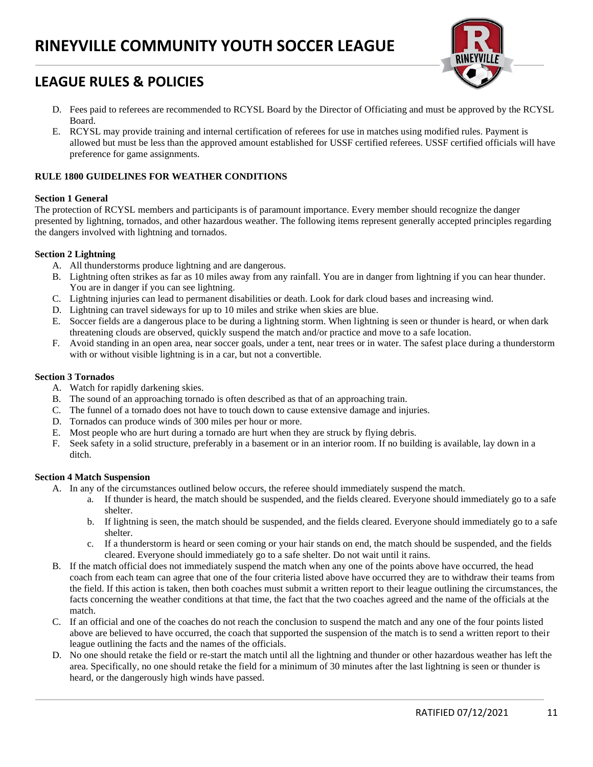# **RINEYVILLE COMMUNITY YOUTH SOCCER LEAGUE**



## **LEAGUE RULES & POLICIES**

- D. Fees paid to referees are recommended to RCYSL Board by the Director of Officiating and must be approved by the RCYSL Board.
- E. RCYSL may provide training and internal certification of referees for use in matches using modified rules. Payment is allowed but must be less than the approved amount established for USSF certified referees. USSF certified officials will have preference for game assignments.

## **RULE 1800 GUIDELINES FOR WEATHER CONDITIONS**

## **Section 1 General**

The protection of RCYSL members and participants is of paramount importance. Every member should recognize the danger presented by lightning, tornados, and other hazardous weather. The following items represent generally accepted principles regarding the dangers involved with lightning and tornados.

#### **Section 2 Lightning**

- A. All thunderstorms produce lightning and are dangerous.
- B. Lightning often strikes as far as 10 miles away from any rainfall. You are in danger from lightning if you can hear thunder. You are in danger if you can see lightning.
- C. Lightning injuries can lead to permanent disabilities or death. Look for dark cloud bases and increasing wind.
- D. Lightning can travel sideways for up to 10 miles and strike when skies are blue.
- E. Soccer fields are a dangerous place to be during a lightning storm. When lightning is seen or thunder is heard, or when dark threatening clouds are observed, quickly suspend the match and/or practice and move to a safe location.
- F. Avoid standing in an open area, near soccer goals, under a tent, near trees or in water. The safest place during a thunderstorm with or without visible lightning is in a car, but not a convertible.

#### **Section 3 Tornados**

- A. Watch for rapidly darkening skies.
- B. The sound of an approaching tornado is often described as that of an approaching train.
- C. The funnel of a tornado does not have to touch down to cause extensive damage and injuries.
- D. Tornados can produce winds of 300 miles per hour or more.
- E. Most people who are hurt during a tornado are hurt when they are struck by flying debris.
- F. Seek safety in a solid structure, preferably in a basement or in an interior room. If no building is available, lay down in a ditch.

## **Section 4 Match Suspension**

- A. In any of the circumstances outlined below occurs, the referee should immediately suspend the match.
	- a. If thunder is heard, the match should be suspended, and the fields cleared. Everyone should immediately go to a safe shelter.
	- b. If lightning is seen, the match should be suspended, and the fields cleared. Everyone should immediately go to a safe shelter.
	- c. If a thunderstorm is heard or seen coming or your hair stands on end, the match should be suspended, and the fields cleared. Everyone should immediately go to a safe shelter. Do not wait until it rains.
- B. If the match official does not immediately suspend the match when any one of the points above have occurred, the head coach from each team can agree that one of the four criteria listed above have occurred they are to withdraw their teams from the field. If this action is taken, then both coaches must submit a written report to their league outlining the circumstances, the facts concerning the weather conditions at that time, the fact that the two coaches agreed and the name of the officials at the match.
- C. If an official and one of the coaches do not reach the conclusion to suspend the match and any one of the four points listed above are believed to have occurred, the coach that supported the suspension of the match is to send a written report to their league outlining the facts and the names of the officials.
- D. No one should retake the field or re-start the match until all the lightning and thunder or other hazardous weather has left the area. Specifically, no one should retake the field for a minimum of 30 minutes after the last lightning is seen or thunder is heard, or the dangerously high winds have passed.